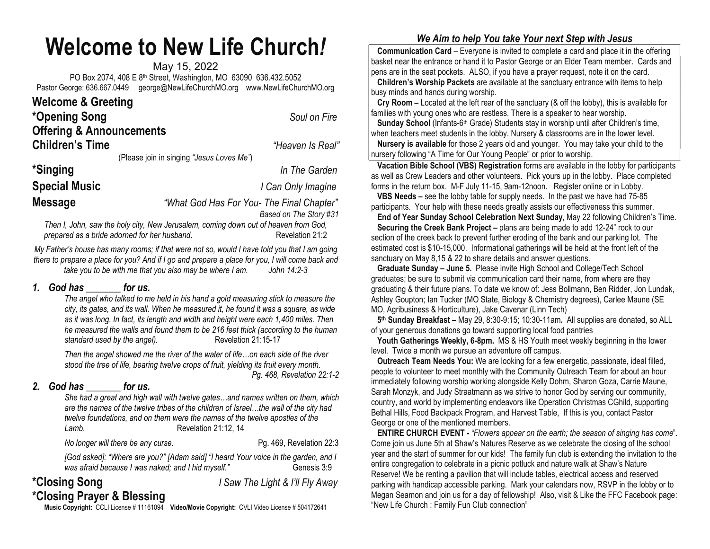## Welcome to New Life Church!

May 15, 2022 PO Box 2074, 408 E 8th Street, Washington, MO 63090 636.432.5052 Pastor George: 636.667.0449 george@NewLifeChurchMO.org www.NewLifeChurchMO.org

| <b>Welcome &amp; Greeting</b>       |                                           |
|-------------------------------------|-------------------------------------------|
| *Opening Song                       | Soul on Fire                              |
| <b>Offering &amp; Announcements</b> |                                           |
| <b>Children's Time</b>              | "Heaven Is Real"                          |
|                                     | (Please join in singing "Jesus Loves Me") |
| *Singing                            | In The Garden                             |
| <b>Special Music</b>                | I Can Only Imagine                        |
| <b>Message</b>                      | "What God Has For You- The Final Chapter" |
|                                     | Based on The Story #31                    |

Then I, John, saw the holy city, New Jerusalem, coming down out of heaven from God, prepared as a bride adorned for her husband. Revelation 21:2

My Father's house has many rooms; if that were not so, would I have told you that I am going there to prepare a place for you? And if I go and prepare a place for you, I will come back and take you to be with me that you also may be where I am. John 14:2-3

## 1. God has for us.

The angel who talked to me held in his hand a gold measuring stick to measure the city, its gates, and its wall. When he measured it, he found it was a square, as wide as it was long. In fact, its length and width and height were each 1,400 miles. Then he measured the walls and found them to be 216 feet thick (according to the human standard used by the angel). Revelation 21:15-17

Then the angel showed me the river of the water of life…on each side of the river stood the tree of life, bearing twelve crops of fruit, yielding its fruit every month. Pg. 468, Revelation 22:1-2

## 2. God has for us.

She had a great and high wall with twelve gates…and names written on them, which are the names of the twelve tribes of the children of Israel…the wall of the city had twelve foundations, and on them were the names of the twelve apostles of the Lamb. Revelation 21:12, 14

No longer will there be any curse. The results of the Pq. 469, Revelation 22:3

[God asked]: "Where are you?" [Adam said] "I heard Your voice in the garden, and I was afraid because I was naked; and I hid myself." Genesis 3:9

\*Closing Song The Light & I'll Fly Away \*Closing Prayer & Blessing

Music Copyright: CCLI License # 11161094 Video/Movie Copyright: CVLI Video License # 504172641

## We Aim to help You take Your next Step with Jesus

 Communication Card – Everyone is invited to complete a card and place it in the offering basket near the entrance or hand it to Pastor George or an Elder Team member. Cards and pens are in the seat pockets. ALSO, if you have a prayer request, note it on the card.

 Children's Worship Packets are available at the sanctuary entrance with items to help busy minds and hands during worship.

 Cry Room – Located at the left rear of the sanctuary (& off the lobby), this is available for families with young ones who are restless. There is a speaker to hear worship.

Sunday School (Infants-6<sup>th</sup> Grade) Students stay in worship until after Children's time, when teachers meet students in the lobby. Nursery & classrooms are in the lower level.

 Nursery is available for those 2 years old and younger. You may take your child to the nursery following "A Time for Our Young People" or prior to worship.

 Vacation Bible School (VBS) Registration forms are available in the lobby for participants as well as Crew Leaders and other volunteers. Pick yours up in the lobby. Place completed forms in the return box. M-F July 11-15, 9am-12noon. Register online or in Lobby.

 VBS Needs – see the lobby table for supply needs. In the past we have had 75-85 participants. Your help with these needs greatly assists our effectiveness this summer.

 End of Year Sunday School Celebration Next Sunday, May 22 following Children's Time. Securing the Creek Bank Project – plans are being made to add 12-24" rock to our section of the creek back to prevent further eroding of the bank and our parking lot. The estimated cost is \$10-15,000. Informational gatherings will be held at the front left of the sanctuary on May 8,15 & 22 to share details and answer questions.

 Graduate Sunday – June 5. Please invite High School and College/Tech School graduates; be sure to submit via communication card their name, from where are they graduating & their future plans. To date we know of: Jess Bollmann, Ben Ridder, Jon Lundak, Ashley Goupton; Ian Tucker (MO State, Biology & Chemistry degrees), Carlee Maune (SE MO, Agribusiness & Horticulture), Jake Cavenar (Linn Tech)

5<sup>th</sup> Sunday Breakfast - May 29, 8:30-9:15; 10:30-11am. All supplies are donated, so ALL of your generous donations go toward supporting local food pantries

Youth Gatherings Weekly, 6-8pm. MS & HS Youth meet weekly beginning in the lower level. Twice a month we pursue an adventure off campus.

 Outreach Team Needs You: We are looking for a few energetic, passionate, ideal filled, people to volunteer to meet monthly with the Community Outreach Team for about an hour immediately following worship working alongside Kelly Dohm, Sharon Goza, Carrie Maune, Sarah Monzyk, and Judy Straatmann as we strive to honor God by serving our community, country, and world by implementing endeavors like Operation Christmas CGhild, supporting Bethal Hills, Food Backpack Program, and Harvest Table, If this is you, contact Pastor George or one of the mentioned members.

 ENTIRE CHURCH EVENT - "Flowers appear on the earth; the season of singing has come". Come join us June 5th at Shaw's Natures Reserve as we celebrate the closing of the school year and the start of summer for our kids! The family fun club is extending the invitation to the entire congregation to celebrate in a picnic potluck and nature walk at Shaw's Nature Reserve! We be renting a pavilion that will include tables, electrical access and reserved parking with handicap accessible parking. Mark your calendars now, RSVP in the lobby or to Megan Seamon and join us for a day of fellowship! Also, visit & Like the FFC Facebook page: "New Life Church : Family Fun Club connection"